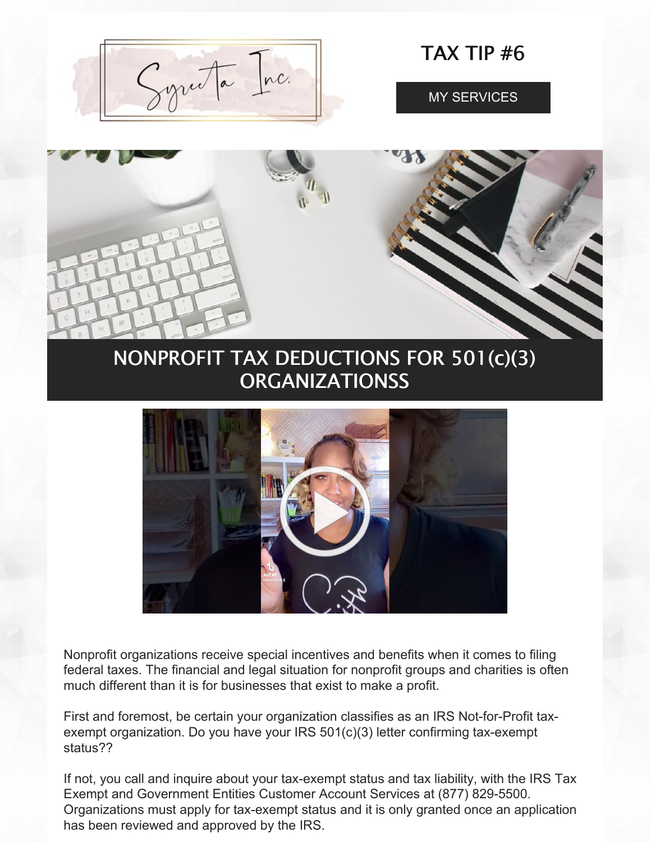Gyruta Inc.

TAX TIP #6

MY [SERVICES](https://www.syreeta.biz/services)



# NONPROFIT TAX DEDUCTIONS FOR 501(c)(3) **ORGANIZATIONSS**



Nonprofit organizations receive special incentives and benefits when it comes to filing federal taxes. The financial and legal situation for nonprofit groups and charities is often much different than it is for businesses that exist to make a profit.

First and foremost, be certain your organization classifies as an IRS Not-for-Profit taxexempt organization. Do you have your IRS 501(c)(3) letter confirming tax-exempt status??

If not, you call and inquire about your tax-exempt status and tax liability, with the IRS Tax Exempt and Government Entities Customer Account Services at (877) 829-5500. Organizations must apply for tax-exempt status and it is only granted once an application has been reviewed and approved by the IRS.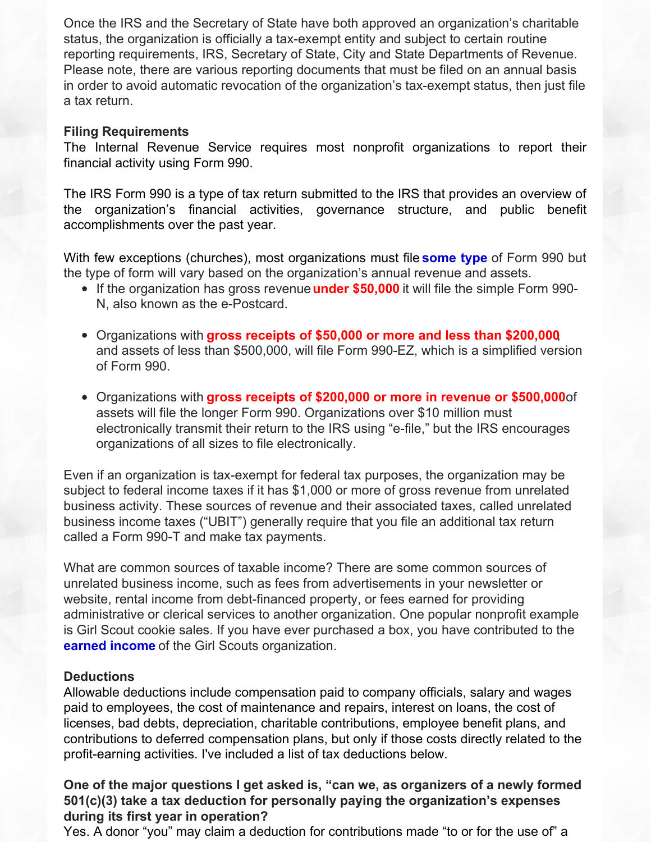Once the IRS and the Secretary of State have both approved an organization's charitable status, the organization is officially a tax-exempt entity and subject to certain routine reporting requirements, IRS, Secretary of State, City and State Departments of Revenue. Please note, there are various reporting documents that must be filed on an annual basis in order to avoid automatic revocation of the organization's tax-exempt status, then just file a tax return.

# **Filing Requirements**

The Internal Revenue Service requires most nonprofit [organizations](https://www.freshbooks.com/hub/startup/how-to-start-a-nonprofit-organization-step-by-step-guide-for-2020) to report their financial activity using Form 990.

The IRS Form 990 is a type of tax return submitted to the IRS that provides an overview of the organization's financial activities, governance structure, and public benefit [accomplishments](https://www.freshbooks.com/hub/startup/how-to-start-a-nonprofit-organization-step-by-step-guide-for-2020) over the past year.

With few exceptions (churches), most [organizations](https://www.freshbooks.com/hub/startup/how-to-start-a-nonprofit-organization-step-by-step-guide-for-2020) must fil[e](https://www.freshbooks.com/hub/startup/how-to-start-a-nonprofit-organization-step-by-step-guide-for-2020) **some type** of Form 990 but the type of form will vary based on the organization's annual revenue and assets.

- If the organization has gross revenue**under \$50,000** it will file the simple Form 990- N, also known as the e-Postcard.
- Organizations with **gross receipts of \$50,000 or more and less than \$200,000**, and assets of less than \$500,000, will file Form 990-EZ, which is a simplified version of Form 990.
- Organizations with **gross receipts of \$200,000 or more in revenue or \$500,000**of assets will file the longer Form 990. Organizations over \$10 million must electronically transmit their return to the IRS using "e-file," but the IRS encourages organizations of all sizes to file electronically.

Even if an organization is tax-exempt for federal tax purposes, the organization may be subject to federal income taxes if it has \$1,000 or more of gross revenue from unrelated business activity. These sources of revenue and their associated taxes, called unrelated business income taxes ("UBIT") generally require that you file an additional tax return called a Form 990-T and make tax payments.

What are common sources of taxable income? There are some common sources of unrelated business income, such as fees from advertisements in your newsletter or website, rental income from debt-financed property, or fees earned for providing administrative or clerical services to another organization. One popular nonprofit example is Girl Scout cookie sales. If you have ever purchased a box, you have contributed to the **earned income** of the Girl Scouts organization.

# **Deductions**

Allowable deductions include [compensation](https://www.freshbooks.com/hub/startup/how-to-start-a-nonprofit-organization-step-by-step-guide-for-2020) paid to company officials, salary and wages paid to employees, the cost of maintenance and repairs, interest on loans, the cost of licenses, bad debts, depreciation, charitable contributions, employee benefit plans, and contributions to deferred compensation plans, but only if those costs directly related to the profit-earning activities. I've included a list of tax deductions below.

# **One of the major questions I get asked is, "can we, as organizers of a newly formed 501(c)(3) take a tax deduction for personally paying the organization's expenses during its first year in operation?**

Yes. A donor "you" may claim a deduction for contributions made "to or for the use of" a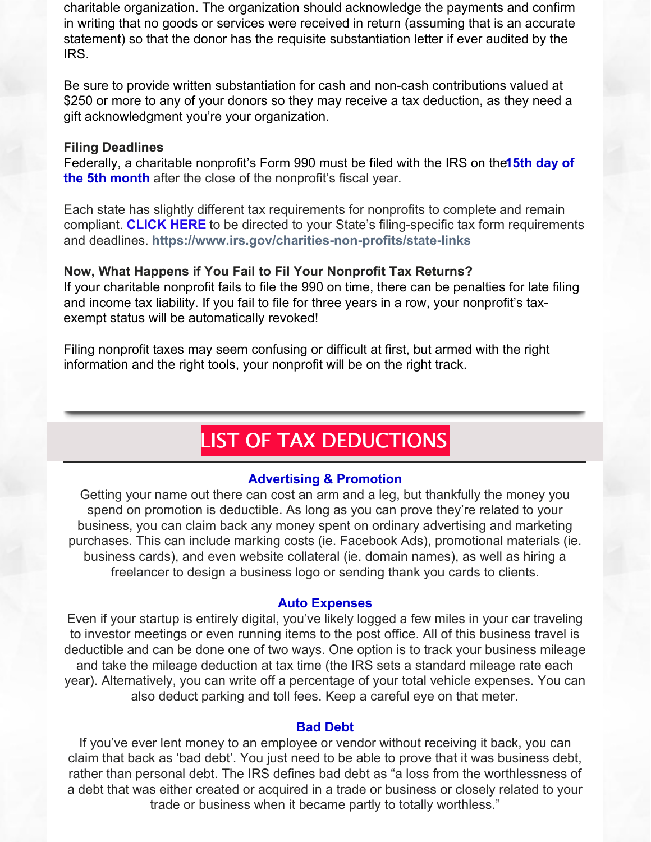charitable organization. The organization should acknowledge the payments and confirm in writing that no goods or services were received in return (assuming that is an accurate statement) so that the donor has the requisite [substantiation](https://www.freshbooks.com/hub/startup/how-to-start-a-nonprofit-organization-step-by-step-guide-for-2020) letter if ever audited by the IRS.

Be sure to provide written substantiation for cash and non-cash contributions valued at \$250 or more to any of your donors so they may receive a tax deduction, as they need a gift [acknowledgment](https://www.freshbooks.com/hub/startup/how-to-start-a-nonprofit-organization-step-by-step-guide-for-2020) you're your organization.

# **Filing Deadlines**

[F](https://www.freshbooks.com/hub/startup/how-to-start-a-nonprofit-organization-step-by-step-guide-for-2020)ederally, a charitable [nonprofit's](https://www.freshbooks.com/hub/startup/how-to-start-a-nonprofit-organization-step-by-step-guide-for-2020) Form 990 must be filed with the IRS on the**15th day of the 5th month** after the close of the nonprofit's fiscal year.

Each state has slightly different tax requirements for nonprofits to complete and remain compliant. **[CLICK](https://www.irs.gov/charities-non-profits/state-links) HERE** to be directed to your State's filing-specific tax form requirements and deadlines. **<https://www.irs.gov/charities-non-profits/state-links>**

# **Now, What Happens if You Fail to Fil Your Nonprofit Tax Returns?**

If your charitable nonprofit fails to file the 990 on time, there can be penalties for late filing and income tax liability. If you fail to file for three years in a row, your nonprofit's taxexempt status will be [automatically](https://www.freshbooks.com/hub/startup/how-to-start-a-nonprofit-organization-step-by-step-guide-for-2020) revoked!

Filing nonprofit taxes may seem confusing or difficult at first, but armed with the right [information](https://www.freshbooks.com/hub/startup/how-to-start-a-nonprofit-organization-step-by-step-guide-for-2020) and the right tools, your nonprofit will be on the right track.

# LIST OF TAX DEDUCTIONS

## **Advertising & Promotion**

Getting your name out there can cost an arm and a leg, but thankfully the money you spend on promotion is deductible. As long as you can prove they're related to your business, you can claim back any money spent on ordinary advertising and marketing purchases. This can include marking costs (ie. Facebook Ads), promotional materials (ie. business cards), and even website collateral (ie. domain names), as well as hiring a freelancer to design a business logo or sending thank you cards to clients.

#### **Auto Expenses**

Even if your startup is entirely digital, you've likely logged a few miles in your car traveling to investor meetings or even running items to the post office. All of this business travel is deductible and can be done one of two ways. One option is to track your business mileage and take the mileage deduction at tax time (the IRS sets a standard mileage rate each year). Alternatively, you can write off a percentage of your total vehicle expenses. You can also deduct parking and toll fees. Keep a careful eye on that meter.

#### **Bad Debt**

If you've ever lent money to an employee or vendor without receiving it back, you can claim that back as 'bad debt'. You just need to be able to prove that it was business debt, rather than personal debt. The IRS defines bad debt as "a loss from the worthlessness of a debt that was either created or acquired in a trade or business or closely related to your trade or business when it became partly to totally worthless."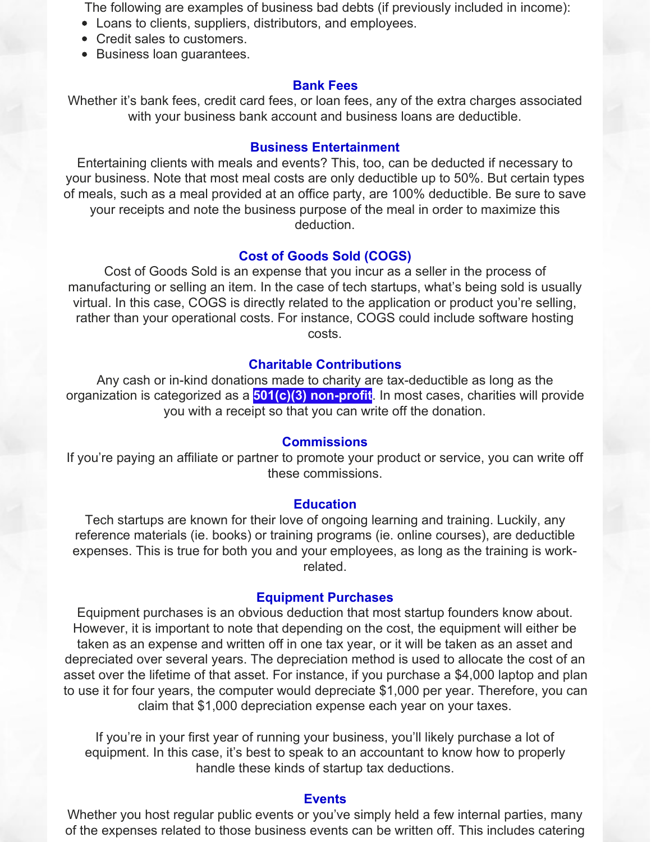The following are examples of business bad debts (if previously included in income):

- Loans to clients, suppliers, distributors, and employees.
- Credit sales to customers.
- Business loan guarantees.

#### **Bank Fees**

Whether it's bank fees, credit card fees, or loan fees, any of the extra charges associated with your business bank account and business loans are deductible.

## **Business Entertainment**

Entertaining clients with meals and events? This, too, can be deducted if necessary to your business. Note that most meal costs are only deductible up to 50%. But certain types of meals, such as a meal provided at an office party, are 100% deductible. Be sure to save your receipts and note the business purpose of the meal in order to maximize this deduction.

#### **Cost of Goods Sold (COGS)**

Cost of Goods Sold is an expense that you incur as a seller in the process of manufacturing or selling an item. In the case of tech startups, what's being sold is usually virtual. In this case, COGS is directly related to the application or product you're selling, rather than your operational costs. For instance, COGS could include software hosting costs.

## **Charitable Contributions**

Any cash or in-kind donations made to charity are tax-deductible as long as the organization is categorized as a **501(c)(3) [non-profit](https://www.501c3.org/what-is-a-501c3/)**. In most cases, charities will provide you with a receipt so that you can write off the donation.

#### **Commissions**

If you're paying an affiliate or partner to promote your product or service, you can write off these commissions.

#### **Education**

Tech startups are known for their love of ongoing learning and training. Luckily, any reference materials (ie. books) or training programs (ie. online courses), are deductible expenses. This is true for both you and your employees, as long as the training is workrelated.

## **Equipment Purchases**

Equipment purchases is an obvious deduction that most startup founders know about. However, it is important to note that depending on the cost, the equipment will either be taken as an expense and written off in one tax year, or it will be taken as an asset and depreciated over several years. The depreciation method is used to allocate the cost of an asset over the lifetime of that asset. For instance, if you purchase a \$4,000 laptop and plan to use it for four years, the computer would depreciate \$1,000 per year. Therefore, you can claim that \$1,000 depreciation expense each year on your taxes.

If you're in your first year of running your business, you'll likely purchase a lot of equipment. In this case, it's best to speak to an accountant to know how to properly handle these kinds of startup tax deductions.

#### **Events**

Whether you host regular public events or you've simply held a few internal parties, many of the expenses related to those business events can be written off. This includes catering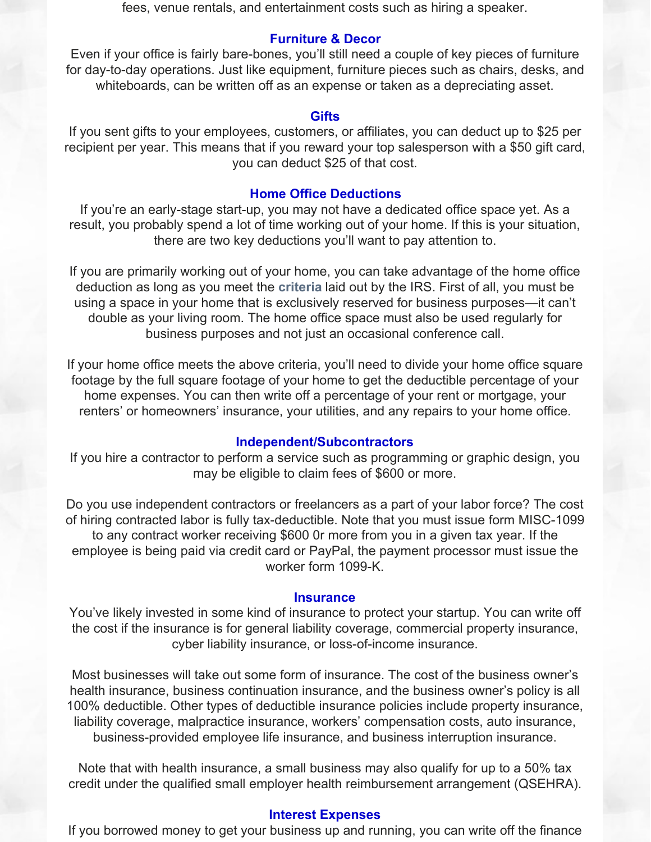fees, venue rentals, and entertainment costs such as hiring a speaker.

## **Furniture & Decor**

Even if your office is fairly bare-bones, you'll still need a couple of key pieces of furniture for day-to-day operations. Just like equipment, furniture pieces such as chairs, desks, and whiteboards, can be written off as an expense or taken as a depreciating asset.

#### **Gifts**

If you sent gifts to your employees, customers, or affiliates, you can deduct up to \$25 per recipient per year. This means that if you reward your top salesperson with a \$50 gift card, you can deduct \$25 of that cost.

## **Home Office Deductions**

If you're an early-stage start-up, you may not have a dedicated office space yet. As a result, you probably spend a lot of time working out of your home. If this is your situation, there are two key deductions you'll want to pay attention to.

If you are primarily working out of your home, you can take advantage of the home office deduction as long as you meet the **[criteria](https://www.irs.gov/businesses/small-businesses-self-employed/home-office-deduction)** laid out by the IRS. First of all, you must be using a space in your home that is exclusively reserved for business purposes—it can't double as your living room. The home office space must also be used regularly for business purposes and not just an occasional conference call.

If your home office meets the above criteria, you'll need to divide your home office square footage by the full square footage of your home to get the deductible percentage of your home expenses. You can then write off a percentage of your rent or mortgage, your renters' or homeowners' insurance, your utilities, and any repairs to your home office.

#### **Independent/Subcontractors**

If you hire a contractor to perform a service such as programming or graphic design, you may be eligible to claim fees of \$600 or more.

Do you use independent contractors or freelancers as a part of your labor force? The cost of hiring contracted labor is fully tax-deductible. Note that you must issue form MISC-1099 to any contract worker receiving \$600 0r more from you in a given tax year. If the employee is being paid via credit card or PayPal, the payment processor must issue the worker form 1099-K.

#### **Insurance**

You've likely invested in some kind of insurance to protect your startup. You can write off the cost if the insurance is for general liability coverage, commercial property insurance, cyber liability insurance, or loss-of-income insurance.

Most businesses will take out some form of insurance. The cost of the business owner's health insurance, business continuation insurance, and the business owner's policy is all 100% deductible. Other types of deductible insurance policies include property insurance, liability coverage, malpractice insurance, workers' compensation costs, auto insurance, business-provided employee life insurance, and business interruption insurance.

Note that with health insurance, a small business may also qualify for up to a 50% tax credit under the qualified small employer health reimbursement arrangement (QSEHRA).

#### **Interest Expenses**

If you borrowed money to get your business up and running, you can write off the finance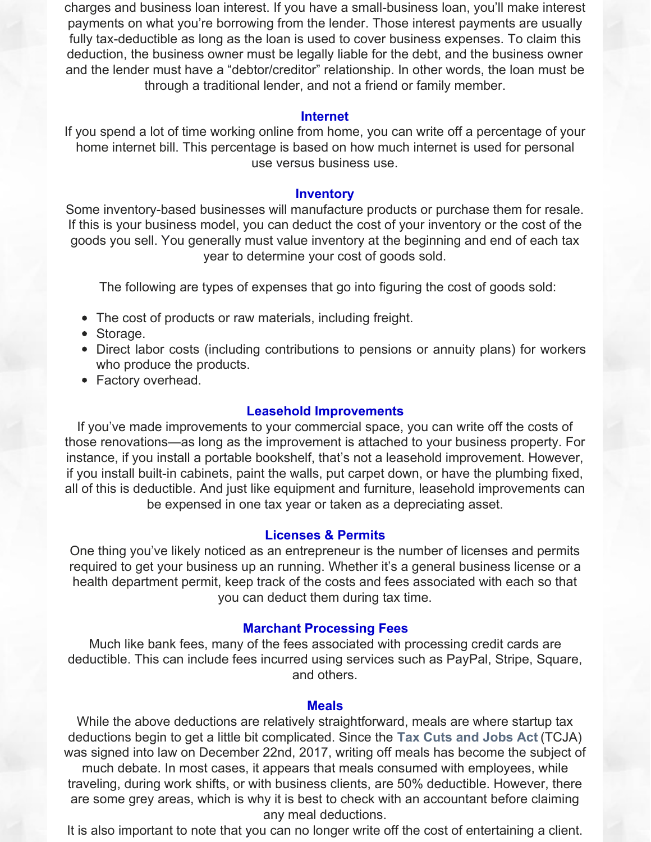charges and business loan interest. If you have a small-business loan, you'll make interest payments on what you're borrowing from the lender. Those interest payments are usually fully tax-deductible as long as the loan is used to cover business expenses. To claim this deduction, the business owner must be legally liable for the debt, and the business owner and the lender must have a "debtor/creditor" relationship. In other words, the loan must be through a traditional lender, and not a friend or family member.

## **Internet**

If you spend a lot of time working online from home, you can write off a percentage of your home internet bill. This percentage is based on how much internet is used for personal use versus business use.

#### **Inventory**

Some inventory-based businesses will manufacture products or purchase them for resale. If this is your business model, you can deduct the cost of your inventory or the cost of the goods you sell. You generally must value inventory at the beginning and end of each tax year to determine your cost of goods sold.

The following are types of expenses that go into figuring the cost of goods sold:

- The cost of products or raw materials, including freight.
- Storage.
- Direct labor costs (including contributions to pensions or annuity plans) for workers who produce the products.
- Factory overhead.

## **Leasehold Improvements**

If you've made improvements to your commercial space, you can write off the costs of those renovations—as long as the improvement is attached to your business property. For instance, if you install a portable bookshelf, that's not a leasehold improvement. However, if you install built-in cabinets, paint the walls, put carpet down, or have the plumbing fixed, all of this is deductible. And just like equipment and furniture, leasehold improvements can be expensed in one tax year or taken as a depreciating asset.

## **Licenses & Permits**

One thing you've likely noticed as an entrepreneur is the number of licenses and permits required to get your business up an running. Whether it's a general business license or a health department permit, keep track of the costs and fees associated with each so that you can deduct them during tax time.

#### **Marchant Processing Fees**

Much like bank fees, many of the fees associated with processing credit cards are deductible. This can include fees incurred using services such as PayPal, Stripe, Square, and others.

#### **Meals**

While the above deductions are relatively straightforward, meals are where startup tax deductions begin to get a little bit complicated. Since the **Tax Cuts and [Jobs](https://www.irs.gov/pub/irs-pdf/p5318.pdf) Act** (TCJA) was signed into law on December 22nd, 2017, writing off meals has become the subject of much debate. In most cases, it appears that meals consumed with employees, while traveling, during work shifts, or with business clients, are 50% deductible. However, there are some grey areas, which is why it is best to check with an accountant before claiming any meal deductions.

It is also important to note that you can no longer write off the cost of entertaining a client.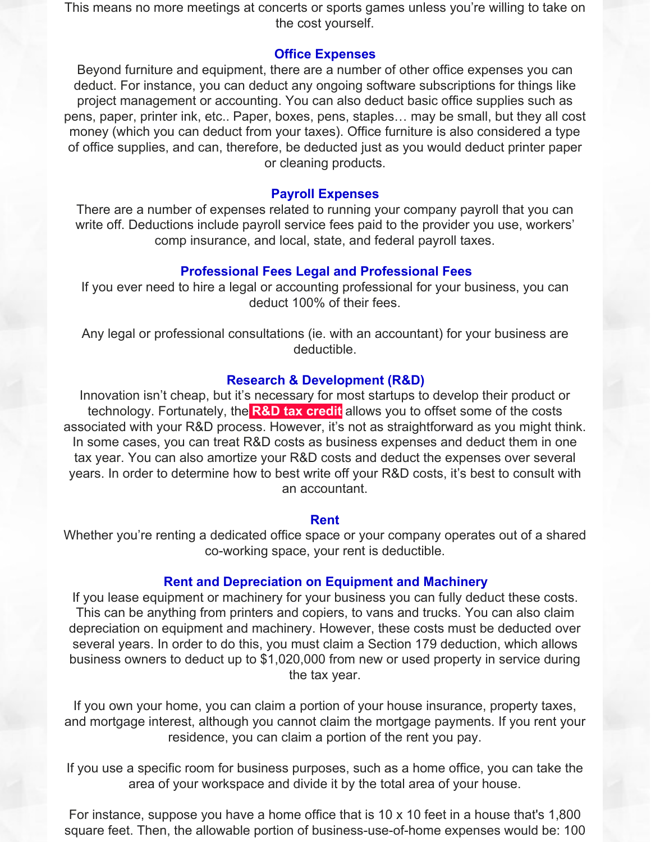This means no more meetings at concerts or sports games unless you're willing to take on the cost yourself.

# **Office Expenses**

Beyond furniture and equipment, there are a number of other office expenses you can deduct. For instance, you can deduct any ongoing software subscriptions for things like project management or accounting. You can also deduct basic office supplies such as pens, paper, printer ink, etc.. Paper, boxes, pens, staples… may be small, but they all cost money (which you can deduct from your taxes). Office furniture is also considered a type of office supplies, and can, therefore, be deducted just as you would deduct printer paper or cleaning products.

## **Payroll Expenses**

There are a number of expenses related to running your company payroll that you can write off. Deductions include payroll service fees paid to the provider you use, workers' comp insurance, and local, state, and federal payroll taxes.

# **Professional Fees Legal and Professional Fees**

If you ever need to hire a legal or accounting professional for your business, you can deduct 100% of their fees.

Any legal or professional consultations (ie. with an accountant) for your business are deductible.

## **Research & Development (R&D)**

Innovation isn't cheap, but it's necessary for most startups to develop their product or technology. Fortunately, the **R&D tax [credit](https://www.irs.gov/pub/irs-pdf/i6765.pdf)** allows you to offset some of the costs associated with your R&D process. However, it's not as straightforward as you might think. In some cases, you can treat R&D costs as business expenses and deduct them in one tax year. You can also amortize your R&D costs and deduct the expenses over several years. In order to determine how to best write off your R&D costs, it's best to consult with an accountant.

## **Rent**

Whether you're renting a dedicated office space or your company operates out of a shared co-working space, your rent is deductible.

### **Rent and Depreciation on Equipment and Machinery**

If you lease equipment or machinery for your business you can fully deduct these costs. This can be anything from printers and copiers, to vans and trucks. You can also claim depreciation on equipment and machinery. However, these costs must be deducted over several years. In order to do this, you must claim a Section 179 deduction, which allows business owners to deduct up to \$1,020,000 from new or used property in service during the tax year.

If you own your home, you can claim a portion of your house insurance, property taxes, and mortgage interest, although you cannot claim the mortgage payments. If you rent your residence, you can claim a portion of the rent you pay.

If you use a specific room for business purposes, such as a home office, you can take the area of your workspace and divide it by the total area of your house.

For instance, suppose you have a home office that is 10 x 10 feet in a house that's 1,800 square feet. Then, the allowable portion of business-use-of-home expenses would be: 100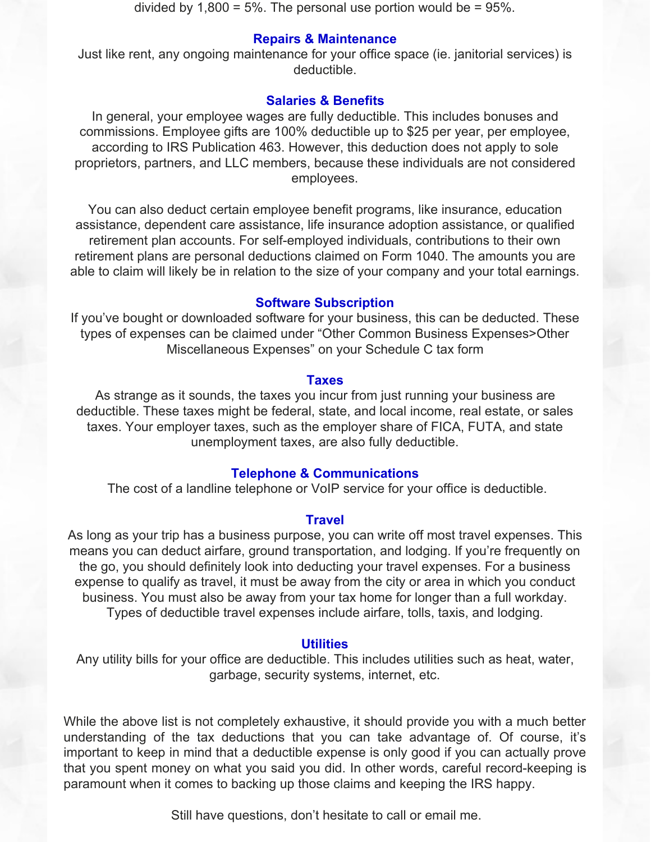divided by  $1,800 = 5\%$ . The personal use portion would be = 95%.

### **Repairs & Maintenance**

Just like rent, any ongoing maintenance for your office space (ie. janitorial services) is deductible.

## **Salaries & Benefits**

In general, your employee wages are fully deductible. This includes bonuses and commissions. Employee gifts are 100% deductible up to \$25 per year, per employee, according to IRS Publication 463. However, this deduction does not apply to sole proprietors, partners, and LLC members, because these individuals are not considered employees.

You can also deduct certain employee benefit programs, like insurance, education assistance, dependent care assistance, life insurance adoption assistance, or qualified retirement plan accounts. For self-employed individuals, contributions to their own retirement plans are personal deductions claimed on Form 1040. The amounts you are able to claim will likely be in relation to the size of your company and your total earnings.

#### **Software Subscription**

If you've bought or downloaded software for your business, this can be deducted. These types of expenses can be claimed under "Other Common Business Expenses>Other Miscellaneous Expenses" on your Schedule C tax form

#### **Taxes**

As strange as it sounds, the taxes you incur from just running your business are deductible. These taxes might be federal, state, and local income, real estate, or sales taxes. Your employer taxes, such as the employer share of FICA, FUTA, and state unemployment taxes, are also fully deductible.

## **Telephone & Communications**

The cost of a landline telephone or VoIP service for your office is deductible.

#### **Travel**

As long as your trip has a business purpose, you can write off most travel expenses. This means you can deduct airfare, ground transportation, and lodging. If you're frequently on the go, you should definitely look into deducting your travel expenses. For a business expense to qualify as travel, it must be away from the city or area in which you conduct business. You must also be away from your tax home for longer than a full workday. Types of deductible travel expenses include airfare, tolls, taxis, and lodging.

#### **Utilities**

Any utility bills for your office are deductible. This includes utilities such as heat, water, garbage, security systems, internet, etc.

While the above list is not completely exhaustive, it should provide you with a much better understanding of the tax deductions that you can take advantage of. Of course, it's important to keep in mind that a deductible expense is only good if you can actually prove that you spent money on what you said you did. In other words, careful record-keeping is paramount when it comes to backing up those claims and keeping the IRS happy.

Still have questions, don't hesitate to call or email me.